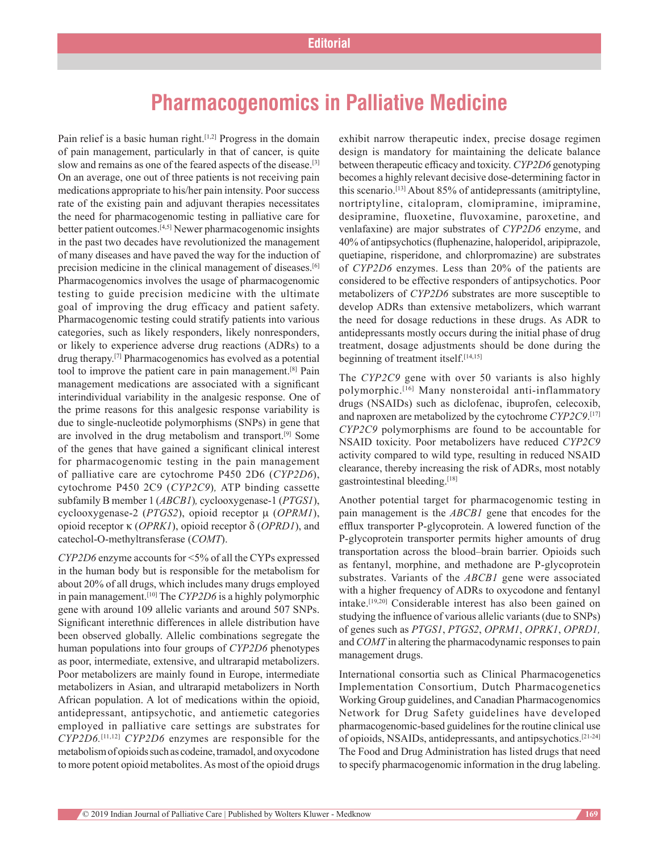## **Pharmacogenomics in Palliative Medicine**

Pain relief is a basic human right.<sup>[1,2]</sup> Progress in the domain of pain management, particularly in that of cancer, is quite slow and remains as one of the feared aspects of the disease.<sup>[3]</sup> On an average, one out of three patients is not receiving pain medications appropriate to his/her pain intensity. Poor success rate of the existing pain and adjuvant therapies necessitates the need for pharmacogenomic testing in palliative care for better patient outcomes.[4,5] Newer pharmacogenomic insights in the past two decades have revolutionized the management of many diseases and have paved the way for the induction of precision medicine in the clinical management of diseases.[6] Pharmacogenomics involves the usage of pharmacogenomic testing to guide precision medicine with the ultimate goal of improving the drug efficacy and patient safety. Pharmacogenomic testing could stratify patients into various categories, such as likely responders, likely nonresponders, or likely to experience adverse drug reactions (ADRs) to a drug therapy.[7] Pharmacogenomics has evolved as a potential tool to improve the patient care in pain management.[8] Pain management medications are associated with a significant interindividual variability in the analgesic response. One of the prime reasons for this analgesic response variability is due to single-nucleotide polymorphisms (SNPs) in gene that are involved in the drug metabolism and transport.[9] Some of the genes that have gained a significant clinical interest for pharmacogenomic testing in the pain management of palliative care are cytochrome P450 2D6 (*CYP2D6*), cytochrome P450 2C9 (*CYP2C9*)*,* ATP binding cassette subfamily B member 1 (*ABCB1*)*,* cyclooxygenase-1 (*PTGS1*), cyclooxygenase-2 (*PTGS2*), opioid receptor μ (*OPRM1*), opioid receptor κ (*OPRK1*), opioid receptor δ (*OPRD1*), and catechol-O-methyltransferase (*COMT*).

*CYP2D6* enzyme accounts for <5% of all the CYPs expressed in the human body but is responsible for the metabolism for about 20% of all drugs, which includes many drugs employed in pain management.[10] The *CYP2D6* is a highly polymorphic gene with around 109 allelic variants and around 507 SNPs. Significant interethnic differences in allele distribution have been observed globally. Allelic combinations segregate the human populations into four groups of *CYP2D6* phenotypes as poor, intermediate, extensive, and ultrarapid metabolizers. Poor metabolizers are mainly found in Europe, intermediate metabolizers in Asian, and ultrarapid metabolizers in North African population. A lot of medications within the opioid, antidepressant, antipsychotic, and antiemetic categories employed in palliative care settings are substrates for *CYP2D6.*[11,12] *CYP2D6* enzymes are responsible for the metabolism of opioids such as codeine, tramadol, and oxycodone to more potent opioid metabolites. As most of the opioid drugs exhibit narrow therapeutic index, precise dosage regimen design is mandatory for maintaining the delicate balance between therapeutic efficacy and toxicity. *CYP2D6* genotyping becomes a highly relevant decisive dose-determining factor in this scenario.[13] About 85% of antidepressants (amitriptyline, nortriptyline, citalopram, clomipramine, imipramine, desipramine, fluoxetine, fluvoxamine, paroxetine, and venlafaxine) are major substrates of *CYP2D6* enzyme, and 40% of antipsychotics(fluphenazine, haloperidol, aripiprazole, quetiapine, risperidone, and chlorpromazine) are substrates of *CYP2D6* enzymes. Less than 20% of the patients are considered to be effective responders of antipsychotics. Poor metabolizers of *CYP2D6* substrates are more susceptible to develop ADRs than extensive metabolizers, which warrant the need for dosage reductions in these drugs. As ADR to antidepressants mostly occurs during the initial phase of drug treatment, dosage adjustments should be done during the beginning of treatment itself.<sup>[14,15]</sup>

The *CYP2C9* gene with over 50 variants is also highly polymorphic.[16] Many nonsteroidal anti-inflammatory drugs (NSAIDs) such as diclofenac, ibuprofen, celecoxib, and naproxen are metabolized by the cytochrome *CYP2C9*. [17] *CYP2C9* polymorphisms are found to be accountable for NSAID toxicity. Poor metabolizers have reduced *CYP2C9* activity compared to wild type, resulting in reduced NSAID clearance, thereby increasing the risk of ADRs, most notably gastrointestinal bleeding.[18]

Another potential target for pharmacogenomic testing in pain management is the *ABCB1* gene that encodes for the efflux transporter P‑glycoprotein. A lowered function of the P-glycoprotein transporter permits higher amounts of drug transportation across the blood–brain barrier. Opioids such as fentanyl, morphine, and methadone are P-glycoprotein substrates. Variants of the *ABCB1* gene were associated with a higher frequency of ADRs to oxycodone and fentanyl intake.[19,20] Considerable interest has also been gained on studying the influence of various allelic variants(due to SNPs) of genes such as *PTGS1*, *PTGS2*, *OPRM1*, *OPRK1*, *OPRD1,* and *COMT* in altering the pharmacodynamic responses to pain management drugs.

International consortia such as Clinical Pharmacogenetics Implementation Consortium, Dutch Pharmacogenetics Working Group guidelines, and Canadian Pharmacogenomics Network for Drug Safety guidelines have developed pharmacogenomic-based guidelines for the routine clinical use of opioids, NSAIDs, antidepressants, and antipsychotics.[21-24] The Food and Drug Administration has listed drugs that need to specify pharmacogenomic information in the drug labeling.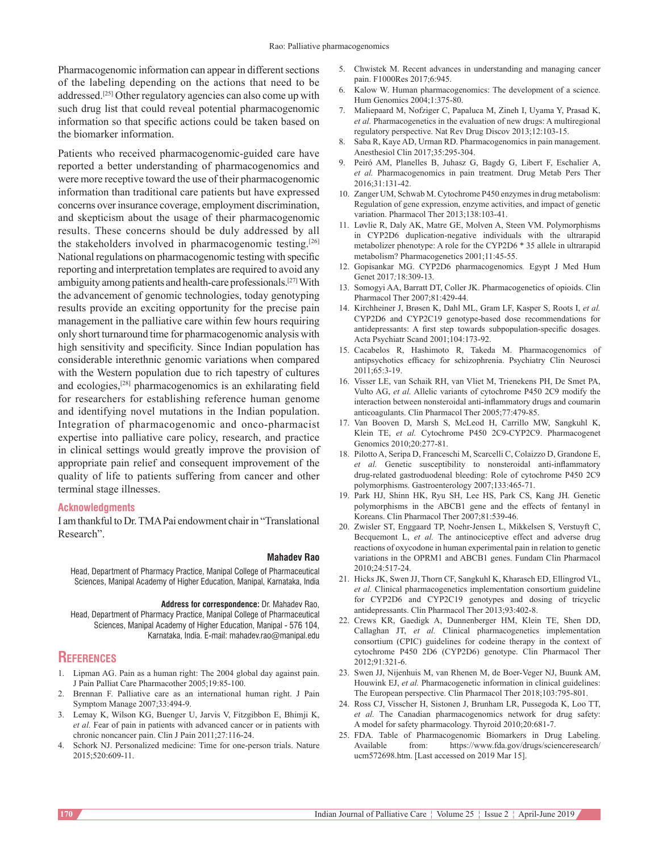Pharmacogenomic information can appear in different sections of the labeling depending on the actions that need to be addressed.[25] Other regulatory agencies can also come up with such drug list that could reveal potential pharmacogenomic information so that specific actions could be taken based on the biomarker information.

Patients who received pharmacogenomic-guided care have reported a better understanding of pharmacogenomics and were more receptive toward the use of their pharmacogenomic information than traditional care patients but have expressed concerns over insurance coverage, employment discrimination, and skepticism about the usage of their pharmacogenomic results. These concerns should be duly addressed by all the stakeholders involved in pharmacogenomic testing.[26] National regulations on pharmacogenomic testing with specific reporting and interpretation templates are required to avoid any ambiguity among patients and health-care professionals.[27] With the advancement of genomic technologies, today genotyping results provide an exciting opportunity for the precise pain management in the palliative care within few hours requiring only short turnaround time for pharmacogenomic analysis with high sensitivity and specificity. Since Indian population has considerable interethnic genomic variations when compared with the Western population due to rich tapestry of cultures and ecologies,[28] pharmacogenomics is an exhilarating field for researchers for establishing reference human genome and identifying novel mutations in the Indian population. Integration of pharmacogenomic and onco-pharmacist expertise into palliative care policy, research, and practice in clinical settings would greatly improve the provision of appropriate pain relief and consequent improvement of the quality of life to patients suffering from cancer and other terminal stage illnesses.

## **Acknowledgments**

I am thankful to Dr. TMA Pai endowment chair in "Translational Research".

Head, Department of Pharmacy Practice, Manipal College of Pharmaceutical Sciences, Manipal Academy of Higher Education, Manipal, Karnataka, India

**Address for correspondence:** Dr. Mahadev Rao, Head, Department of Pharmacy Practice, Manipal College of Pharmaceutical Sciences, Manipal Academy of Higher Education, Manipal ‑ 576 104,

**Mahadev Rao**

Karnataka, India. E‑mail: mahadev.rao@manipal.edu

## **References**

- 1. Lipman AG. Pain as a human right: The 2004 global day against pain. J Pain Palliat Care Pharmacother 2005;19:85-100.
- 2. Brennan F. Palliative care as an international human right. J Pain Symptom Manage 2007;33:494-9.
- 3. Lemay K, Wilson KG, Buenger U, Jarvis V, Fitzgibbon E, Bhimji K, *et al.* Fear of pain in patients with advanced cancer or in patients with chronic noncancer pain. Clin J Pain 2011;27:116-24.
- 4. Schork NJ. Personalized medicine: Time for one-person trials. Nature 2015;520:609-11.
- 5. Chwistek M. Recent advances in understanding and managing cancer pain. F1000Res 2017;6:945.
- 6. Kalow W. Human pharmacogenomics: The development of a science. Hum Genomics 2004;1:375-80.
- 7. Maliepaard M, Nofziger C, Papaluca M, Zineh I, Uyama Y, Prasad K, *et al.* Pharmacogenetics in the evaluation of new drugs: A multiregional regulatory perspective. Nat Rev Drug Discov 2013;12:103-15.
- 8. Saba R, Kaye AD, Urman RD. Pharmacogenomics in pain management. Anesthesiol Clin 2017;35:295-304.
- 9. Peiró AM, Planelles B, Juhasz G, Bagdy G, Libert F, Eschalier A, *et al.* Pharmacogenomics in pain treatment. Drug Metab Pers Ther 2016;31:131-42.
- 10. Zanger UM, Schwab M. Cytochrome P450 enzymes in drug metabolism: Regulation of gene expression, enzyme activities, and impact of genetic variation. Pharmacol Ther 2013;138:103-41.
- 11. Løvlie R, Daly AK, Matre GE, Molven A, Steen VM. Polymorphisms in CYP2D6 duplication-negative individuals with the ultrarapid metabolizer phenotype: A role for the CYP2D6 \* 35 allele in ultrarapid metabolism? Pharmacogenetics 2001;11:45-55.
- 12. Gopisankar MG. CYP2D6 pharmacogenomics*.* Egypt J Med Hum Genet 2017*;*18:309-13*.*
- 13. Somogyi AA, Barratt DT, Coller JK. Pharmacogenetics of opioids. Clin Pharmacol Ther 2007;81:429-44.
- 14. Kirchheiner J, Brøsen K, Dahl ML, Gram LF, Kasper S, Roots I, *et al.* CYP2D6 and CYP2C19 genotype-based dose recommendations for antidepressants: A first step towards subpopulation‑specific dosages. Acta Psychiatr Scand 2001;104:173-92.
- 15. Cacabelos R, Hashimoto R, Takeda M. Pharmacogenomics of antipsychotics efficacy for schizophrenia. Psychiatry Clin Neurosci 2011;65:3-19.
- 16. Visser LE, van Schaik RH, van Vliet M, Trienekens PH, De Smet PA, Vulto AG, *et al.* Allelic variants of cytochrome P450 2C9 modify the interaction between nonsteroidal anti‑inflammatory drugs and coumarin anticoagulants. Clin Pharmacol Ther 2005;77:479-85.
- 17. Van Booven D, Marsh S, McLeod H, Carrillo MW, Sangkuhl K, Klein TE, *et al.* Cytochrome P450 2C9-CYP2C9. Pharmacogenet Genomics 2010;20:277-81.
- 18. Pilotto A, Seripa D, Franceschi M, Scarcelli C, Colaizzo D, Grandone E, *et al.* Genetic susceptibility to nonsteroidal anti‑inflammatory drug-related gastroduodenal bleeding: Role of cytochrome P450 2C9 polymorphisms. Gastroenterology 2007;133:465-71.
- 19. Park HJ, Shinn HK, Ryu SH, Lee HS, Park CS, Kang JH*.* Genetic polymorphisms in the ABCB1 gene and the effects of fentanyl in Koreans. Clin Pharmacol Ther 2007;81:539-46.
- 20. Zwisler ST, Enggaard TP, Noehr-Jensen L, Mikkelsen S, Verstuyft C, Becquemont L, *et al.* The antinociceptive effect and adverse drug reactions of oxycodone in human experimental pain in relation to genetic variations in the OPRM1 and ABCB1 genes. Fundam Clin Pharmacol 2010;24:517-24.
- 21. Hicks JK, Swen JJ, Thorn CF, Sangkuhl K, Kharasch ED, Ellingrod VL, *et al.* Clinical pharmacogenetics implementation consortium guideline for CYP2D6 and CYP2C19 genotypes and dosing of tricyclic antidepressants. Clin Pharmacol Ther 2013;93:402-8.
- 22. Crews KR, Gaedigk A, Dunnenberger HM, Klein TE, Shen DD, Callaghan JT, *et al.* Clinical pharmacogenetics implementation consortium (CPIC) guidelines for codeine therapy in the context of cytochrome P450 2D6 (CYP2D6) genotype. Clin Pharmacol Ther 2012;91:321-6.
- 23. Swen JJ, Nijenhuis M, van Rhenen M, de Boer-Veger NJ, Buunk AM, Houwink EJ, *et al.* Pharmacogenetic information in clinical guidelines: The European perspective. Clin Pharmacol Ther 2018;103:795-801.
- 24. Ross CJ, Visscher H, Sistonen J, Brunham LR, Pussegoda K, Loo TT, *et al.* The Canadian pharmacogenomics network for drug safety: A model for safety pharmacology. Thyroid 2010;20:681-7.
- 25. FDA. Table of Pharmacogenomic Biomarkers in Drug Labeling. Available from: https://www.fda.gov/drugs/scienceresearch/ ucm572698.htm. [Last accessed on 2019 Mar 15].